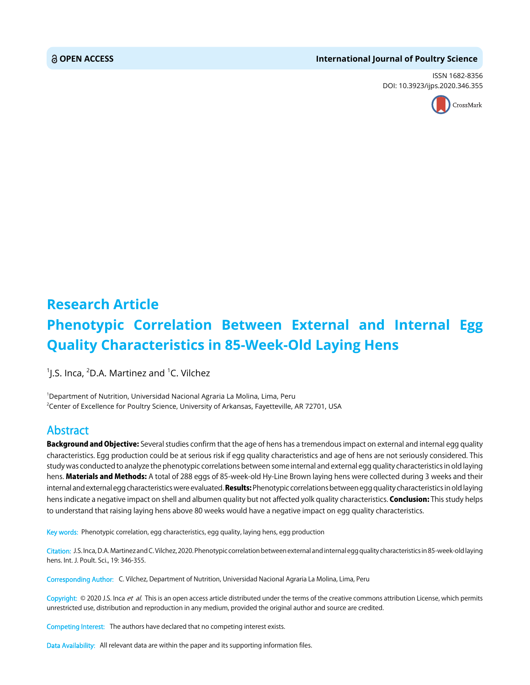#### **OPEN ACCESS International Journal of Poultry Science**

ISSN 1682-8356 DOI: 10.3923/ijps.2020.346.355



# **Research Article Phenotypic Correlation Between External and Internal Egg Quality Characteristics in 85-Week-Old Laying Hens**

 $^1$ J.S. Inca,  $^2$ D.A. Martinez and  $^1$ C. Vilchez

1 Department of Nutrition, Universidad Nacional Agraria La Molina, Lima, Peru 2 Center of Excellence for Poultry Science, University of Arkansas, Fayetteville, AR 72701, USA

## Abstract

**Background and Objective:** Several studies confirm that the age of hens has a tremendous impact on external and internal egg quality characteristics. Egg production could be at serious risk if egg quality characteristics and age of hens are not seriously considered. This study was conducted to analyze the phenotypic correlations between some internal and external egg quality characteristics in old laying hens. Materials and Methods: A total of 288 eggs of 85-week-old Hy-Line Brown laying hens were collected during 3 weeks and their internal and external egg characteristics were evaluated. **Results:** Phenotypic correlations between egg quality characteristics in old laying hens indicate a negative impact on shell and albumen quality but not affected yolk quality characteristics. Conclusion: This study helps to understand that raising laying hens above 80 weeks would have a negative impact on egg quality characteristics.

Key words: Phenotypic correlation, egg characteristics, egg quality, laying hens, egg production

Citation: J.S. Inca, D.A. Martinez and C. Vilchez, 2020. Phenotypic correlation between external and internal egg quality characteristics in 85-week-old laying hens. Int. J. Poult. Sci., 19: 346-355.

Corresponding Author: C. Vilchez, Department of Nutrition, Universidad Nacional Agraria La Molina, Lima, Peru

Copyright: © 2020 J.S. Inca et al. This is an open access article distributed under the terms of the creative commons attribution License, which permits unrestricted use, distribution and reproduction in any medium, provided the original author and source are credited.

Competing Interest: The authors have declared that no competing interest exists.

Data Availability: All relevant data are within the paper and its supporting information files.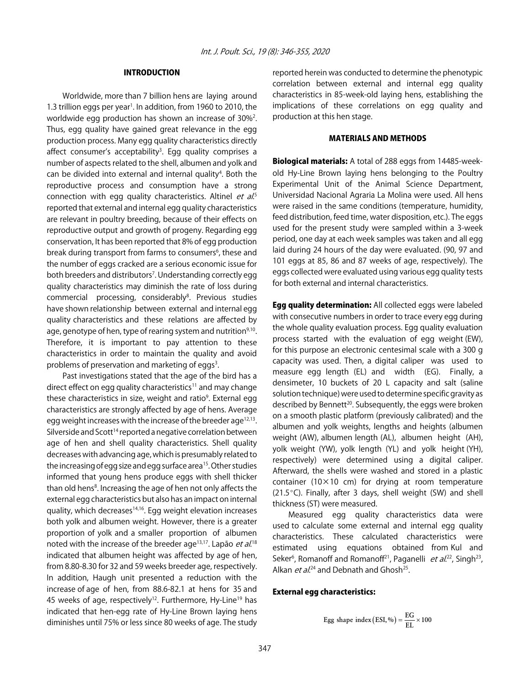### INTRODUCTION

Worldwide, more than 7 billion hens are laying around 1.3 trillion eggs per year<sup>1</sup>. In addition, from 1960 to 2010, the worldwide egg production has shown an increase of 30%<sup>2</sup>. Thus, egg quality have gained great relevance in the egg production process. Many egg quality characteristics directly affect consumer's acceptability<sup>3</sup>. Egg quality comprises a number of aspects related to the shell, albumen and yolk and can be divided into external and internal quality<sup>4</sup>. Both the reproductive process and consumption have a strong connection with egg quality characteristics. Altinel et al.<sup>5</sup> reported that external and internal egg quality characteristics are relevant in poultry breeding, because of their effects on reproductive output and growth of progeny. Regarding egg conservation, It has been reported that 8% of egg production break during transport from farms to consumers<sup>6</sup>, these and the number of eggs cracked are a serious economic issue for both breeders and distributors<sup>7</sup>. Understanding correctly egg quality characteristics may diminish the rate of loss during commercial processing, considerably<sup>8</sup>. Previous studies have shown relationship between external and internal egg quality characteristics and these relations are affected by age, genotype of hen, type of rearing system and nutrition $9,10$ . Therefore, it is important to pay attention to these characteristics in order to maintain the quality and avoid problems of preservation and marketing of eggs<sup>3</sup>.

Past investigations stated that the age of the bird has a direct effect on egg quality characteristics<sup>11</sup> and may change these characteristics in size, weight and ratio<sup>9</sup>. External egg characteristics are strongly affected by age of hens. Average egg weight increases with the increase of the breeder age<sup>12,13</sup>. Silverside and Scott<sup>14</sup> reported a negative correlation between age of hen and shell quality characteristics. Shell quality decreases with advancing age, which is presumably related to the increasing of egg size and egg surface area<sup>15</sup>. Other studies informed that young hens produce eggs with shell thicker than old hens<sup>8</sup>. Increasing the age of hen not only affects the external egg characteristics but also has an impact on internal quality, which decreases<sup>14,16</sup>. Egg weight elevation increases both yolk and albumen weight. However, there is a greater proportion of yolk and a smaller proportion of albumen noted with the increase of the breeder age<sup>13,17</sup>. Lapão *et al*.<sup>18</sup> indicated that albumen height was affected by age of hen, from 8.80-8.30 for 32 and 59 weeks breeder age, respectively. In addition, Haugh unit presented a reduction with the increase of age of hen, from 88.6-82.1 at hens for 35 and 45 weeks of age, respectively<sup>12</sup>. Furthermore, Hy-Line<sup>19</sup> has indicated that hen-egg rate of Hy-Line Brown laying hens diminishes until 75% or less since 80 weeks of age. The study

reported herein was conducted to determine the phenotypic correlation between external and internal egg quality characteristics in 85-week-old laying hens, establishing the implications of these correlations on egg quality and production at this hen stage.

#### MATERIALS AND METHODS

Biological materials: A total of 288 eggs from 14485-weekold Hy-Line Brown laying hens belonging to the Poultry Experimental Unit of the Animal Science Department, Universidad Nacional Agraria La Molina were used. All hens were raised in the same conditions (temperature, humidity, feed distribution, feed time, water disposition, etc.). The eggs used for the present study were sampled within a 3-week period, one day at each week samples was taken and all egg laid during 24 hours of the day were evaluated. (90, 97 and 101 eggs at 85, 86 and 87 weeks of age, respectively). The eggs collected were evaluated using various egg quality tests for both external and internal characteristics.

**Egg quality determination:** All collected eggs were labeled with consecutive numbers in order to trace every egg during the whole quality evaluation process. Egg quality evaluation process started with the evaluation of egg weight (EW), for this purpose an electronic centesimal scale with a 300 g capacity was used. Then, a digital caliper was used to measure egg length (EL) and width (EG). Finally, a densimeter, 10 buckets of 20 L capacity and salt (saline solution technique) were used to determine specific gravity as described by Bennett<sup>20</sup>. Subsequently, the eggs were broken on a smooth plastic platform (previously calibrated) and the albumen and yolk weights, lengths and heights (albumen weight (AW), albumen length (AL), albumen height (AH), yolk weight (YW), yolk length (YL) and yolk height (YH), respectively) were determined using a digital caliper. Afterward, the shells were washed and stored in a plastic container ( $10\times10$  cm) for drying at room temperature  $(21.5^{\circ}C)$ . Finally, after 3 days, shell weight (SW) and shell thickness (ST) were measured.

Measured egg quality characteristics data were used to calculate some external and internal egg quality characteristics. These calculated characteristics were estimated using equations obtained from Kul and Seker<sup>6</sup>, Romanoff and Romanoff<sup>21</sup>, Paganelli *et al.*<sup>22</sup>, Singh<sup>23</sup>, Alkan *et al.*<sup>24</sup> and Debnath and Ghosh<sup>25</sup>.

#### External egg characteristics:

Egg shape index (ESI, %) = 
$$
\frac{EG}{EL} \times 100
$$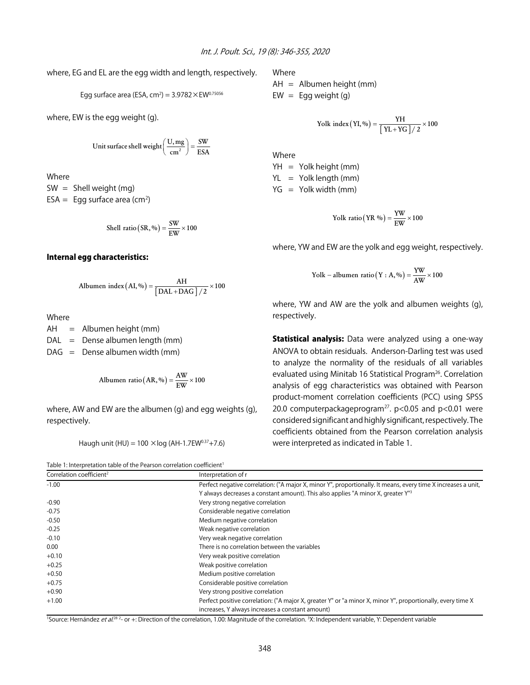where, EG and EL are the egg width and length, respectively.

Egg surface area (ESA, cm<sup>2</sup>) = 
$$
3.9782 \times \text{EW}^{0.75056}
$$

where, EW is the egg weight (g).

Unit surface shell weight 
$$
\left(\frac{U, mg}{cm^2}\right) = \frac{SW}{ESA}
$$

Where

 $SW =$  Shell weight (mg)  $ESA = Egg$  surface area (cm<sup>2</sup>)

Shell ratio (SR, %) = 
$$
\frac{SW}{EW} \times 100
$$

#### Internal egg characteristics:

Albumen index 
$$
(AI, \%)
$$
 =  $\frac{AH}{[DAL + DAG]/2} \times 100$ 

Where

 $AH =$  Albumen height (mm)  $DAL = Dense albumen length (mm)$  $DAG =$  Dense albumen width (mm)

**Albumen ratio** 
$$
(AR, %)
$$
 =  $\frac{AW}{EW} \times 100$ 

where, AW and EW are the albumen (g) and egg weights (g), respectively.

Haugh unit (HU) =  $100 \times \log (AH-1.7EW^{0.37}+7.6)$ 



Where

AH = Albumen height (mm)  $EW = Egg$  weight (g)

$$
Yolk index (YI, %) = \frac{YH}{\left[\ YL+YG\ \right]/2} \times 100
$$

Where YH = Yolk height (mm)  $YL = Yolk length (mm)$  $YG = Yolk width (mm)$ 

$$
Yolk ratio (YR \%) = \frac{YW}{EW} \times 100
$$

where, YW and EW are the yolk and egg weight, respectively.

$$
Yolk - albumen ratio(Y : A, %) = \frac{YW}{AW} \times 100
$$

where, YW and AW are the yolk and albumen weights (g), respectively.

**Statistical analysis:** Data were analyzed using a one-way ANOVA to obtain residuals. Anderson-Darling test was used to analyze the normality of the residuals of all variables evaluated using Minitab 16 Statistical Program<sup>26</sup>. Correlation analysis of egg characteristics was obtained with Pearson product-moment correlation coefficients (PCC) using SPSS 20.0 computerpackageprogram<sup>27</sup>.  $p$ <0.05 and  $p$ <0.01 were considered significant and highly significant, respectively. The coefficients obtained from the Pearson correlation analysis were interpreted as indicated in Table 1.

| Correlation coefficient <sup>2</sup> | Interpretation of r                                                                                           |
|--------------------------------------|---------------------------------------------------------------------------------------------------------------|
| $-1.00$                              | Perfect negative correlation: ("A major X, minor Y", proportionally. It means, every time X increases a unit, |
|                                      | Y always decreases a constant amount). This also applies "A minor X, greater Y" <sup>3</sup>                  |
| $-0.90$                              | Very strong negative correlation                                                                              |
| $-0.75$                              | Considerable negative correlation                                                                             |
| $-0.50$                              | Medium negative correlation                                                                                   |
| $-0.25$                              | Weak negative correlation                                                                                     |
| $-0.10$                              | Very weak negative correlation                                                                                |
| 0.00                                 | There is no correlation between the variables                                                                 |
| $+0.10$                              | Very weak positive correlation                                                                                |
| $+0.25$                              | Weak positive correlation                                                                                     |
| $+0.50$                              | Medium positive correlation                                                                                   |
| $+0.75$                              | Considerable positive correlation                                                                             |
| $+0.90$                              | Very strong positive correlation                                                                              |
| $+1.00$                              | Perfect positive correlation: ("A major X, greater Y" or "a minor X, minor Y", proportionally, every time X   |
|                                      | increases, Y always increases a constant amount)                                                              |

<sup>1</sup>Source: Hernández *et al*.<sup>28 2</sup>- or +: Direction of the correlation, 1.00: Magnitude of the correlation. <sup>3</sup>X: Independent variable, Y: Dependent variable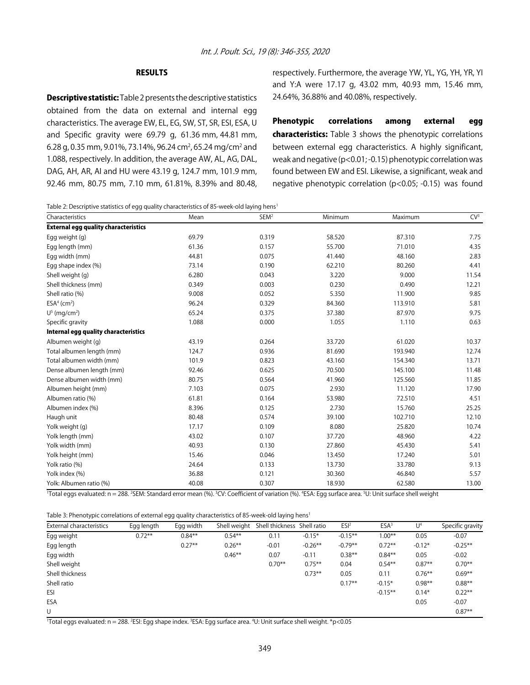#### RESULTS

**Descriptive statistic:** Table 2 presents the descriptive statistics obtained from the data on external and internal egg characteristics. The average EW, EL, EG, SW, ST, SR, ESI, ESA, U and Specific gravity were 69.79 g, 61.36 mm, 44.81 mm, 6.28 g, 0.35 mm, 9.01%, 73.14%, 96.24 cm<sup>2</sup>, 65.24 mg/cm<sup>2</sup> and 1.088, respectively. In addition, the average AW, AL, AG, DAL, DAG, AH, AR, AI and HU were 43.19 g, 124.7 mm, 101.9 mm, 92.46 mm, 80.75 mm, 7.10 mm, 61.81%, 8.39% and 80.48, respectively. Furthermore, the average YW, YL, YG, YH, YR, YI and Y:A were 17.17 g, 43.02 mm, 40.93 mm, 15.46 mm, 24.64%, 36.88% and 40.08%, respectively.

Phenotypic correlations among external egg characteristics: Table 3 shows the phenotypic correlations between external egg characteristics. A highly significant, weak and negative (p<0.01; -0.15) phenotypic correlation was found between EW and ESI. Likewise, a significant, weak and negative phenotypic correlation (p<0.05; -0.15) was found

Table 2: Descriptive statistics of egg quality characteristics of 85-week-old laying hens<sup>1</sup>

| Characteristics                             | Mean  | SEM <sup>2</sup> | Minimum | Maximum | CV <sup>3</sup> |
|---------------------------------------------|-------|------------------|---------|---------|-----------------|
| <b>External egg quality characteristics</b> |       |                  |         |         |                 |
| Egg weight (g)                              | 69.79 | 0.319            | 58.520  | 87.310  | 7.75            |
| Egg length (mm)                             | 61.36 | 0.157            | 55.700  | 71.010  | 4.35            |
| Egg width (mm)                              | 44.81 | 0.075            | 41.440  | 48.160  | 2.83            |
| Egg shape index (%)                         | 73.14 | 0.190            | 62.210  | 80.260  | 4.41            |
| Shell weight (g)                            | 6.280 | 0.043            | 3.220   | 9.000   | 11.54           |
| Shell thickness (mm)                        | 0.349 | 0.003            | 0.230   | 0.490   | 12.21           |
| Shell ratio (%)                             | 9.008 | 0.052            | 5.350   | 11.900  | 9.85            |
| $ESA4$ (cm <sup>2</sup> )                   | 96.24 | 0.329            | 84.360  | 113.910 | 5.81            |
| $U^5$ (mg/cm <sup>2</sup> )                 | 65.24 | 0.375            | 37.380  | 87.970  | 9.75            |
| Specific gravity                            | 1.088 | 0.000            | 1.055   | 1.110   | 0.63            |
| Internal egg quality characteristics        |       |                  |         |         |                 |
| Albumen weight (g)                          | 43.19 | 0.264            | 33.720  | 61.020  | 10.37           |
| Total albumen length (mm)                   | 124.7 | 0.936            | 81.690  | 193.940 | 12.74           |
| Total albumen width (mm)                    | 101.9 | 0.823            | 43.160  | 154.340 | 13.71           |
| Dense albumen length (mm)                   | 92.46 | 0.625            | 70.500  | 145.100 | 11.48           |
| Dense albumen width (mm)                    | 80.75 | 0.564            | 41.960  | 125.560 | 11.85           |
| Albumen height (mm)                         | 7.103 | 0.075            | 2.930   | 11.120  | 17.90           |
| Albumen ratio (%)                           | 61.81 | 0.164            | 53.980  | 72.510  | 4.51            |
| Albumen index (%)                           | 8.396 | 0.125            | 2.730   | 15.760  | 25.25           |
| Haugh unit                                  | 80.48 | 0.574            | 39.100  | 102.710 | 12.10           |
| Yolk weight (g)                             | 17.17 | 0.109            | 8.080   | 25.820  | 10.74           |
| Yolk length (mm)                            | 43.02 | 0.107            | 37.720  | 48.960  | 4.22            |
| Yolk width (mm)                             | 40.93 | 0.130            | 27.860  | 45.430  | 5.41            |
| Yolk height (mm)                            | 15.46 | 0.046            | 13.450  | 17.240  | 5.01            |
| Yolk ratio (%)                              | 24.64 | 0.133            | 13.730  | 33.780  | 9.13            |
| Yolk index (%)                              | 36.88 | 0.121            | 30.360  | 46.840  | 5.57            |
| Yolk: Albumen ratio (%)                     | 40.08 | 0.307            | 18.930  | 62.580  | 13.00           |

Total eggs evaluated: n = 288. 2SEM: Standard error mean (%). <sup>3</sup>CV: Coefficient of variation (%). <sup>4</sup>ESA: Egg surface area. <sup>5</sup>U: Unit surface shell weight

Table 3: Phenotypic correlations of external egg quality characteristics of 85-week-old laying hens<sup>1</sup>

| External characteristics | Egg length | Egg width | Shell weight | Shell thickness Shell ratio |            | ESI <sup>2</sup> | ESA <sup>3</sup> | U <sup>4</sup> | Specific gravity |
|--------------------------|------------|-----------|--------------|-----------------------------|------------|------------------|------------------|----------------|------------------|
| Egg weight               | $0.72***$  | $0.84**$  | $0.54***$    | 0.11                        | $-0.15*$   | $-0.15***$       | $1.00**$         | 0.05           | $-0.07$          |
| Egg length               |            | $0.27**$  | $0.26**$     | $-0.01$                     | $-0.26***$ | $-0.79**$        | $0.72**$         | $-0.12*$       | $-0.25**$        |
| Egg width                |            |           | $0.46**$     | 0.07                        | $-0.11$    | $0.38**$         | $0.84***$        | 0.05           | $-0.02$          |
| Shell weight             |            |           |              | $0.70**$                    | $0.75***$  | 0.04             | $0.54***$        | $0.87**$       | $0.70**$         |
| Shell thickness          |            |           |              |                             | $0.73**$   | 0.05             | 0.11             | $0.76***$      | $0.69**$         |
| Shell ratio              |            |           |              |                             |            | $0.17***$        | $-0.15*$         | $0.98**$       | $0.88**$         |
| ESI                      |            |           |              |                             |            |                  | $-0.15***$       | $0.14*$        | $0.22**$         |
| ESA                      |            |           |              |                             |            |                  |                  | 0.05           | $-0.07$          |
| U                        |            |           |              |                             |            |                  |                  |                | $0.87**$         |

1 Total eggs evaluated: n = 288. 2 ESI: Egg shape index. 3 ESA: Egg surface area. 4 U: Unit surface shell weight. \*p<0.05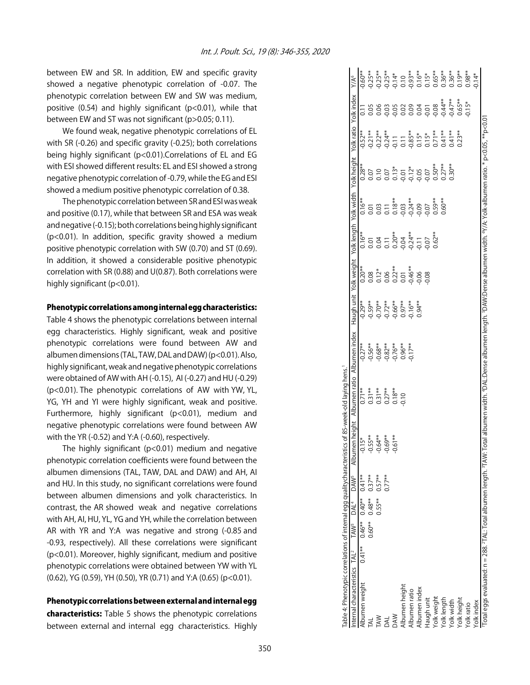between EW and SR. In addition, EW and specific gravity showed a negative phenotypic correlation of -0.07. The phenotypic correlation between EW and SW was medium, positive (0.54) and highly significant (p<0.01), while that between EW and ST was not significant (p>0.05; 0.11).

We found weak, negative phenotypic correlations of EL with SR (-0.26) and specific gravity (-0.25); both correlations being highly significant (p<0.01).Correlations of EL and EG with ESI showed different results: EL and ESI showed a strong negative phenotypic correlation of -0.79, while the EG and ESI showed a medium positive phenotypic correlation of 0.38.

The phenotypic correlation between SR and ESI was weak and positive (0.17), while that between SR and ESA was weak and negative (-0.15); both correlations being highly significant (p<0.01). In addition, specific gravity showed a medium positive phenotypic correlation with SW (0.70) and ST (0.69). In addition, it showed a considerable positive phenotypic correlation with SR (0.88) and U(0.87). Both correlations were highly significant (p<0.01).

#### Phenotypic correlations among internal egg characteristics:

Table 4 shows the phenotypic correlations between internal egg characteristics. Highly significant, weak and positive phenotypic correlations were found between AW and albumen dimensions (TAL, TAW, DAL and DAW) (p<0.01). Also, highly significant, weak and negative phenotypic correlations were obtained of AW with AH (-0.15), AI (-0.27) and HU (-0.29) (p<0.01). The phenotypic correlations of AW with YW, YL, YG, YH and YI were highly significant, weak and positive. Furthermore, highly significant (p<0.01), medium and negative phenotypic correlations were found between AW with the YR (-0.52) and Y:A (-0.60), respectively.

The highly significant ( $p<0.01$ ) medium and negative phenotypic correlation coefficients were found between the albumen dimensions (TAL, TAW, DAL and DAW) and AH, AI and HU. In this study, no significant correlations were found between albumen dimensions and yolk characteristics. In contrast, the AR showed weak and negative correlations with AH, AI, HU, YL, YG and YH, while the correlation between AR with YR and Y:A was negative and strong (-0.85 and -0.93, respectively). All these correlations were significant (p<0.01). Moreover, highly significant, medium and positive phenotypic correlations were obtained between YW with YL (0.62), YG (0.59), YH (0.50), YR (0.71) and Y:A (0.65) (p<0.01).

#### Phenotypic correlations between external and internal egg

characteristics: Table 5 shows the phenotypic correlations between external and internal egg characteristics. Highly

| able 4: Phenotypic correlations of internal egg qualitycharacteristics of 85-week-old laying hens.                                                                                                                                               |           |           |                     |           |                                                                                                                           |                                              |                                        |                                                                                  |                                                                                                                                                                                                                                                                                                               |                                                                                                                                                                                                                                                                                                               |           |                                                                                                                                                                                                                                                                                                                                      |                   |                  |
|--------------------------------------------------------------------------------------------------------------------------------------------------------------------------------------------------------------------------------------------------|-----------|-----------|---------------------|-----------|---------------------------------------------------------------------------------------------------------------------------|----------------------------------------------|----------------------------------------|----------------------------------------------------------------------------------|---------------------------------------------------------------------------------------------------------------------------------------------------------------------------------------------------------------------------------------------------------------------------------------------------------------|---------------------------------------------------------------------------------------------------------------------------------------------------------------------------------------------------------------------------------------------------------------------------------------------------------------|-----------|--------------------------------------------------------------------------------------------------------------------------------------------------------------------------------------------------------------------------------------------------------------------------------------------------------------------------------------|-------------------|------------------|
| nternal characteristics TAL <sup>2</sup> TAW <sup>3</sup> DAL <sup>4</sup> DAW <sup>5</sup> Albumen height                                                                                                                                       |           |           |                     |           | Albumen ratio Albumen index Haugh unit Yolk weight Yolk length Yolk width Yolk height Yolk ratio Yolk index               |                                              |                                        |                                                                                  |                                                                                                                                                                                                                                                                                                               |                                                                                                                                                                                                                                                                                                               |           |                                                                                                                                                                                                                                                                                                                                      |                   | Y/A <sup>6</sup> |
| $0.47$ $0.46$ $0.40$ $0.47$ $0.47$ $0.47$ $0.47$ $0.47$ $0.47$ $0.47$ $0.47$ $0.47$ $0.47$ $0.47$ $0.47$ $0.47$ $0.47$ $0.47$ $0.47$ $0.47$ $0.47$ $0.47$ $0.47$ $0.47$ $0.47$ $0.47$ $0.47$ $0.47$ $0.47$ $0.47$ $0.47$ $0.4$<br>Albumen weight |           |           |                     | $-0.15*$  | $0.71**$                                                                                                                  | $-0.27**$                                    | $-0.29**$                              | $0.20**$                                                                         | $0.16***$                                                                                                                                                                                                                                                                                                     | $0.16**$                                                                                                                                                                                                                                                                                                      | $0.28***$ | $0.52***$                                                                                                                                                                                                                                                                                                                            | $\overline{0.11}$ | $0.60**$         |
| k,                                                                                                                                                                                                                                               | $0.60***$ | $0.48**$  | $0.37**$            | $-0.55**$ |                                                                                                                           |                                              |                                        |                                                                                  |                                                                                                                                                                                                                                                                                                               |                                                                                                                                                                                                                                                                                                               |           |                                                                                                                                                                                                                                                                                                                                      |                   |                  |
| ≹                                                                                                                                                                                                                                                |           | $0.55***$ | $0.57***$<br>0.77** | $-0.64**$ |                                                                                                                           |                                              |                                        |                                                                                  |                                                                                                                                                                                                                                                                                                               |                                                                                                                                                                                                                                                                                                               |           |                                                                                                                                                                                                                                                                                                                                      |                   |                  |
|                                                                                                                                                                                                                                                  |           |           |                     | $-0.69**$ | $0.31**$<br>$0.31**$<br>$0.27**$<br>$0.18**$<br>$0.10$                                                                    | $0.56**$<br>$0.68**$<br>$0.82**$<br>$0.76**$ | ***<br>0.70***<br>0.90.00**<br>0.90.00 | $\begin{array}{l} 0.08 \\ 0.12^* \\ 0.05 \\ 0.01 \\ 0.01 \\ 0.046^* \end{array}$ | $\begin{array}{l} 0.01 \\ 0.04 \\ 0.01 \\ 0.00 \\ 0.00 \\ 0.00 \\ 0.00 \\ 0.00 \\ 0.00 \\ 0.00 \\ 0.00 \\ 0.00 \\ 0.00 \\ 0.00 \\ 0.00 \\ 0.00 \\ 0.00 \\ 0.00 \\ 0.00 \\ 0.00 \\ 0.00 \\ 0.00 \\ 0.00 \\ 0.00 \\ 0.00 \\ 0.00 \\ 0.00 \\ 0.00 \\ 0.00 \\ 0.00 \\ 0.00 \\ 0.00 \\ 0.00 \\ 0.00 \\ 0.00 \\ 0.$ | $\begin{array}{l} 0.01 \\ 0.03 \\ 0.01 \\ 0.03 \\ 0.03 \\ 0.03 \\ 0.00 \\ 0.00 \\ 0.00 \\ 0.00 \\ 0.00 \\ 0.00 \\ 0.00 \\ 0.00 \\ 0.00 \\ 0.00 \\ 0.00 \\ 0.00 \\ 0.00 \\ 0.00 \\ 0.00 \\ 0.00 \\ 0.00 \\ 0.00 \\ 0.00 \\ 0.00 \\ 0.00 \\ 0.00 \\ 0.00 \\ 0.00 \\ 0.00 \\ 0.00 \\ 0.00 \\ 0.00 \\ 0.00 \\ 0.$ |           | $\begin{array}{l} * \\ 0.21 * \\ 2.22 * \\ 3.23 * \\ 4.24 * \\ 5.25 * \\ 6.24 * \\ 7.25 * \\ 8.25 * \\ 7.25 * \\ 8.25 * \\ 9.27 * \\ 1.28 * \\ 1.29 * \\ 1.23 * \\ 1.24 * \\ 1.25 * \\ 1.25 * \\ 1.25 * \\ 1.25 * \\ 1.25 * \\ 1.25 * \\ 1.25 * \\ 1.25 * \\ 1.25 * \\ 1.25 * \\ 1.25 * \\ 1.25 * \\ 1.25 * \\ 1.25 * \\ 1.25 * \\ $ |                   |                  |
|                                                                                                                                                                                                                                                  |           |           |                     | $-0.61**$ |                                                                                                                           |                                              |                                        |                                                                                  |                                                                                                                                                                                                                                                                                                               |                                                                                                                                                                                                                                                                                                               |           |                                                                                                                                                                                                                                                                                                                                      |                   |                  |
| Ibumen height                                                                                                                                                                                                                                    |           |           |                     |           |                                                                                                                           | $0.96**$                                     |                                        |                                                                                  |                                                                                                                                                                                                                                                                                                               |                                                                                                                                                                                                                                                                                                               |           |                                                                                                                                                                                                                                                                                                                                      |                   |                  |
| Ibumen ratio                                                                                                                                                                                                                                     |           |           |                     |           |                                                                                                                           | $0.17***$                                    | $0.16**$                               |                                                                                  |                                                                                                                                                                                                                                                                                                               |                                                                                                                                                                                                                                                                                                               |           |                                                                                                                                                                                                                                                                                                                                      |                   |                  |
| <b>Ibumen</b> index                                                                                                                                                                                                                              |           |           |                     |           |                                                                                                                           |                                              | $0.94**$                               | 0.06                                                                             |                                                                                                                                                                                                                                                                                                               |                                                                                                                                                                                                                                                                                                               |           |                                                                                                                                                                                                                                                                                                                                      |                   |                  |
| laugh unit                                                                                                                                                                                                                                       |           |           |                     |           |                                                                                                                           |                                              |                                        | 0.08                                                                             |                                                                                                                                                                                                                                                                                                               |                                                                                                                                                                                                                                                                                                               | 0.07      |                                                                                                                                                                                                                                                                                                                                      |                   |                  |
| olk weight                                                                                                                                                                                                                                       |           |           |                     |           |                                                                                                                           |                                              |                                        |                                                                                  | $0.62***$                                                                                                                                                                                                                                                                                                     | $0.59**$                                                                                                                                                                                                                                                                                                      | $0.50**$  |                                                                                                                                                                                                                                                                                                                                      |                   |                  |
| /olk length                                                                                                                                                                                                                                      |           |           |                     |           |                                                                                                                           |                                              |                                        |                                                                                  |                                                                                                                                                                                                                                                                                                               | $0.60**$                                                                                                                                                                                                                                                                                                      | $0.27**$  |                                                                                                                                                                                                                                                                                                                                      | $0.44**$          |                  |
| olk width                                                                                                                                                                                                                                        |           |           |                     |           |                                                                                                                           |                                              |                                        |                                                                                  |                                                                                                                                                                                                                                                                                                               |                                                                                                                                                                                                                                                                                                               | $0.30**$  |                                                                                                                                                                                                                                                                                                                                      | $0.47**$          |                  |
| /olk height                                                                                                                                                                                                                                      |           |           |                     |           |                                                                                                                           |                                              |                                        |                                                                                  |                                                                                                                                                                                                                                                                                                               |                                                                                                                                                                                                                                                                                                               |           | $0.23**$                                                                                                                                                                                                                                                                                                                             | $0.65***$         |                  |
| olk ratio                                                                                                                                                                                                                                        |           |           |                     |           |                                                                                                                           |                                              |                                        |                                                                                  |                                                                                                                                                                                                                                                                                                               |                                                                                                                                                                                                                                                                                                               |           |                                                                                                                                                                                                                                                                                                                                      | $0.15*$           |                  |
| olk index                                                                                                                                                                                                                                        |           |           |                     |           |                                                                                                                           |                                              |                                        |                                                                                  |                                                                                                                                                                                                                                                                                                               |                                                                                                                                                                                                                                                                                                               |           |                                                                                                                                                                                                                                                                                                                                      |                   | $0.14*$          |
| Total eggs evaluated: n = 288. <sup>2</sup> TAL: Total albumen length. <sup>3</sup> TAW                                                                                                                                                          |           |           |                     |           | r. Total albumen width. 'DAL:Dense albumen length. 'DAW:Dense albumen width. 'Y/A: Yolk-albumen ratio. * p<0.05, **p<0.01 |                                              |                                        |                                                                                  |                                                                                                                                                                                                                                                                                                               |                                                                                                                                                                                                                                                                                                               |           |                                                                                                                                                                                                                                                                                                                                      |                   |                  |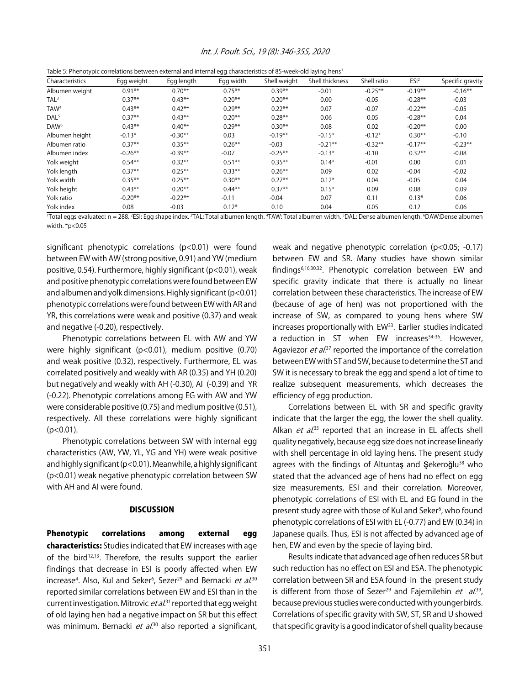#### Int. J. Poult. Sci., 19 (8): 346-355, 2020

|  | Table 5: Phenotypic correlations between external and internal egg characteristics of 85-week-old laying hens <sup>1</sup> |  |
|--|----------------------------------------------------------------------------------------------------------------------------|--|
|--|----------------------------------------------------------------------------------------------------------------------------|--|

| Characteristics  | Egg weight | Egg length | Egg width | Shell weight | Shell thickness | Shell ratio | ESI <sup>2</sup> | Specific gravity |
|------------------|------------|------------|-----------|--------------|-----------------|-------------|------------------|------------------|
| Albumen weight   | $0.91**$   | $0.70**$   | $0.75***$ | $0.39**$     | $-0.01$         | $-0.25**$   | $-0.19**$        | $-0.16***$       |
| TAL <sup>3</sup> | $0.37**$   | $0.43***$  | $0.20***$ | $0.20**$     | 0.00            | $-0.05$     | $-0.28**$        | $-0.03$          |
| TAW <sup>4</sup> | $0.43**$   | $0.42***$  | $0.29**$  | $0.22**$     | 0.07            | $-0.07$     | $-0.22**$        | $-0.05$          |
| DAL <sup>5</sup> | $0.37**$   | $0.43**$   | $0.20**$  | $0.28**$     | 0.06            | 0.05        | $-0.28**$        | 0.04             |
| DAW <sup>6</sup> | $0.43**$   | $0.40**$   | $0.29***$ | $0.30**$     | 0.08            | 0.02        | $-0.20**$        | 0.00             |
| Albumen height   | $-0.13*$   | $-0.30**$  | 0.03      | $-0.19**$    | $-0.15*$        | $-0.12*$    | $0.30**$         | $-0.10$          |
| Albumen ratio    | $0.37**$   | $0.35***$  | $0.26***$ | $-0.03$      | $-0.21**$       | $-0.32**$   | $-0.17**$        | $-0.23**$        |
| Albumen index    | $-0.26**$  | $-0.39**$  | $-0.07$   | $-0.25**$    | $-0.13*$        | $-0.10$     | $0.32***$        | $-0.08$          |
| Yolk weight      | $0.54**$   | $0.32***$  | $0.51***$ | $0.35***$    | $0.14*$         | $-0.01$     | 0.00             | 0.01             |
| Yolk length      | $0.37**$   | $0.25***$  | $0.33***$ | $0.26**$     | 0.09            | 0.02        | $-0.04$          | $-0.02$          |
| Yolk width       | $0.35**$   | $0.25***$  | $0.30**$  | $0.27**$     | $0.12*$         | 0.04        | $-0.05$          | 0.04             |
| Yolk height      | $0.43**$   | $0.20**$   | $0.44***$ | $0.37**$     | $0.15*$         | 0.09        | 0.08             | 0.09             |
| Yolk ratio       | $-0.20**$  | $-0.22**$  | $-0.11$   | $-0.04$      | 0.07            | 0.11        | $0.13*$          | 0.06             |
| Yolk index       | 0.08       | $-0.03$    | $0.12*$   | 0.10         | 0.04            | 0.05        | 0.12             | 0.06             |

'Total eggs evaluated: n = 288. 'ESI: Egg shape index. <sup>3</sup>TAL: Total albumen length. "TAW: Total albumen width. <sup>5</sup>DAL: Dense albumen length. <sup>6</sup>DAW:Dense albumen width. \*p<0.05

significant phenotypic correlations (p<0.01) were found between EW with AW (strong positive, 0.91) and YW (medium positive, 0.54). Furthermore, highly significant (p<0.01), weak and positive phenotypic correlations were found between EW and albumen and yolk dimensions. Highly significant (p<0.01) phenotypic correlations were found between EW with AR and YR, this correlations were weak and positive (0.37) and weak and negative (-0.20), respectively.

Phenotypic correlations between EL with AW and YW were highly significant (p<0.01), medium positive (0.70) and weak positive (0.32), respectively. Furthermore, EL was correlated positively and weakly with AR (0.35) and YH (0.20) but negatively and weakly with AH (-0.30), AI (-0.39) and YR (-0.22). Phenotypic correlations among EG with AW and YW were considerable positive (0.75) and medium positive (0.51), respectively. All these correlations were highly significant  $(p<0.01)$ .

Phenotypic correlations between SW with internal egg characteristics (AW, YW, YL, YG and YH) were weak positive and highly significant (p<0.01). Meanwhile, a highly significant (p<0.01) weak negative phenotypic correlation between SW with AH and AI were found.

#### **DISCUSSION**

Phenotypic correlations among external egg characteristics: Studies indicated that EW increases with age of the bird<sup>12,13</sup>. Therefore, the results support the earlier findings that decrease in ESI is poorly affected when EW increase<sup>4</sup>. Also, Kul and Seker<sup>6</sup>, Sezer<sup>29</sup> and Bernacki *et al*.<sup>30</sup> reported similar correlations between EW and ESI than in the current investigation. Mitrovic *et al*.<sup>31</sup> reported that egg weight of old laying hen had a negative impact on SR but this effect was minimum. Bernacki *et al*.<sup>30</sup> also reported a significant,

weak and negative phenotypic correlation (p<0.05; -0.17) between EW and SR. Many studies have shown similar findings6,16,30,32. Phenotypic correlation between EW and specific gravity indicate that there is actually no linear correlation between these characteristics. The increase of EW (because of age of hen) was not proportioned with the increase of SW, as compared to young hens where SW increases proportionally with EW<sup>33</sup>. Earlier studies indicated a reduction in ST when EW increases $34-36$ . However, Agaviezor *et al.*<sup>37</sup> reported the importance of the correlation between EW with ST and SW, because to determine the ST and SW it is necessary to break the egg and spend a lot of time to realize subsequent measurements, which decreases the efficiency of egg production.

Correlations between EL with SR and specific gravity indicate that the larger the egg, the lower the shell quality. Alkan *et al.*<sup>33</sup> reported that an increase in EL affects shell quality negatively, because egg size does not increase linearly with shell percentage in old laying hens. The present study agrees with the findings of Altuntas and Sekeroğlu $38$  who stated that the advanced age of hens had no effect on egg size measurements, ESI and their correlation. Moreover, phenotypic correlations of ESI with EL and EG found in the present study agree with those of Kul and Seker<sup>6</sup>, who found phenotypic correlations of ESI with EL (-0.77) and EW (0.34) in Japanese quails. Thus, ESI is not affected by advanced age of hen, EW and even by the specie of laying bird.

Results indicate that advanced age of hen reduces SR but such reduction has no effect on ESI and ESA. The phenotypic correlation between SR and ESA found in the present study is different from those of Sezer<sup>29</sup> and Fajemilehin  $et$   $al.^{39}$ , because previous studies were conducted with younger birds. Correlations of specific gravity with SW, ST, SR and U showed that specific gravity is a good indicator of shell quality because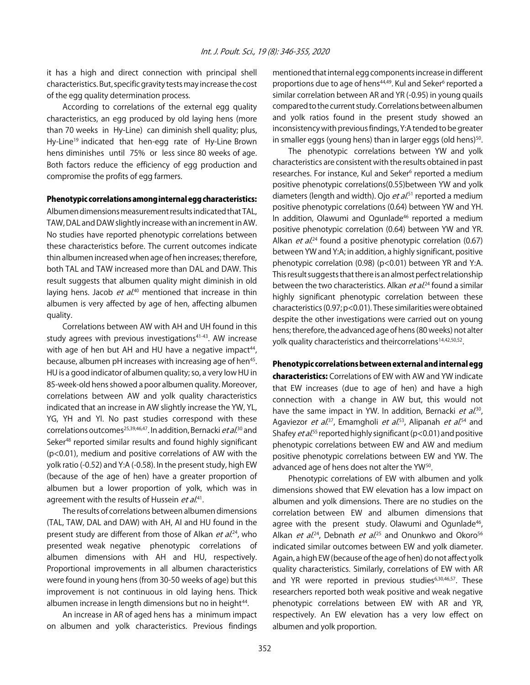it has a high and direct connection with principal shell characteristics. But, specific gravity tests may increase the cost of the egg quality determination process.

According to correlations of the external egg quality characteristics, an egg produced by old laying hens (more than 70 weeks in Hy-Line) can diminish shell quality; plus, Hy-Line<sup>19</sup> indicated that hen-egg rate of Hy-Line Brown hens diminishes until 75% or less since 80 weeks of age. Both factors reduce the efficiency of egg production and compromise the profits of egg farmers.

#### Phenotypic correlations among internal egg characteristics:

Albumen dimensions measurement results indicated that TAL, TAW, DAL and DAW slightly increase with an increment in AW. No studies have reported phenotypic correlations between these characteristics before. The current outcomes indicate thin albumen increased when age of hen increases; therefore, both TAL and TAW increased more than DAL and DAW. This result suggests that albumen quality might diminish in old laying hens. Jacob *et al*.<sup>40</sup> mentioned that increase in thin albumen is very affected by age of hen, affecting albumen quality.

Correlations between AW with AH and UH found in this study agrees with previous investigations<sup>41-43</sup>. AW increase with age of hen but AH and HU have a negative impact<sup>44</sup>, because, albumen pH increases with increasing age of hen<sup>45</sup>. HU is a good indicator of albumen quality; so, a very low HU in 85-week-old hens showed a poor albumen quality. Moreover, correlations between AW and yolk quality characteristics indicated that an increase in AW slightly increase the YW, YL, YG, YH and YI. No past studies correspond with these correlations outcomes<sup>25,39,46,47</sup>. In addition, Bernacki *et al*.<sup>30</sup> and Seker<sup>48</sup> reported similar results and found highly significant (p<0.01), medium and positive correlations of AW with the yolk ratio (-0.52) and Y:A (-0.58). In the present study, high EW (because of the age of hen) have a greater proportion of albumen but a lower proportion of yolk, which was in agreement with the results of Hussein *et al*.<sup>41</sup>.

The results of correlations between albumen dimensions (TAL, TAW, DAL and DAW) with AH, AI and HU found in the present study are different from those of Alkan *et al.*<sup>24</sup>, who presented weak negative phenotypic correlations of albumen dimensions with AH and HU, respectively. Proportional improvements in all albumen characteristics were found in young hens (from 30-50 weeks of age) but this improvement is not continuous in old laying hens. Thick albumen increase in length dimensions but no in height<sup>44</sup>.

An increase in AR of aged hens has a minimum impact on albumen and yolk characteristics. Previous findings mentioned that internal egg components increase in different proportions due to age of hens<sup>44,49</sup>. Kul and Seker<sup>6</sup> reported a similar correlation between AR and YR (-0.95) in young quails compared to the current study. Correlations between albumen and yolk ratios found in the present study showed an inconsistency with previous findings, Y:A tended to be greater in smaller eggs (young hens) than in larger eggs (old hens) $50$ .

The phenotypic correlations between YW and yolk characteristics are consistent with the results obtained in past researches. For instance, Kul and Seker<sup>6</sup> reported a medium positive phenotypic correlations(0.55)between YW and yolk diameters (length and width). Ojo *et al*.<sup>51</sup> reported a medium positive phenotypic correlations (0.64) between YW and YH. In addition, Olawumi and Ogunlade<sup>46</sup> reported a medium positive phenotypic correlation (0.64) between YW and YR. Alkan *et al.*<sup>24</sup> found a positive phenotypic correlation (0.67) between YW and Y:A; in addition, a highly significant, positive phenotypic correlation (0.98) (p<0.01) between YR and Y:A. This result suggests that there is an almost perfect relationship between the two characteristics. Alkan *et al*.<sup>24</sup> found a similar highly significant phenotypic correlation between these characteristics (0.97; p<0.01). These similarities were obtained despite the other investigations were carried out on young hens; therefore, the advanced age of hens (80 weeks) not alter yolk quality characteristics and theircorrelations<sup>14,42,50,52</sup>.

Phenotypic correlations between external and internal egg characteristics: Correlations of EW with AW and YW indicate that EW increases (due to age of hen) and have a high connection with a change in AW but, this would not have the same impact in YW. In addition, Bernacki *et al.*<sup>30</sup>, Agaviezor *et al*.<sup>37</sup>, Emamgholi *et al*.<sup>53</sup>, Alipanah *et al*.<sup>54</sup> and Shafey *et al*.<sup>55</sup> reported highly significant (p<0.01) and positive phenotypic correlations between EW and AW and medium positive phenotypic correlations between EW and YW. The advanced age of hens does not alter the YW<sup>50</sup>.

Phenotypic correlations of EW with albumen and yolk dimensions showed that EW elevation has a low impact on albumen and yolk dimensions. There are no studies on the correlation between EW and albumen dimensions that agree with the present study. Olawumi and Ogunlade<sup>46</sup>, Alkan *et al.*<sup>24</sup>, Debnath *et al.*<sup>25</sup> and Onunkwo and Okoro<sup>56</sup> indicated similar outcomes between EW and yolk diameter. Again, a high EW (because of the age of hen) do not affect yolk quality characteristics. Similarly, correlations of EW with AR and YR were reported in previous studies<sup>6,30,46,57</sup>. These researchers reported both weak positive and weak negative phenotypic correlations between EW with AR and YR, respectively. An EW elevation has a very low effect on albumen and yolk proportion.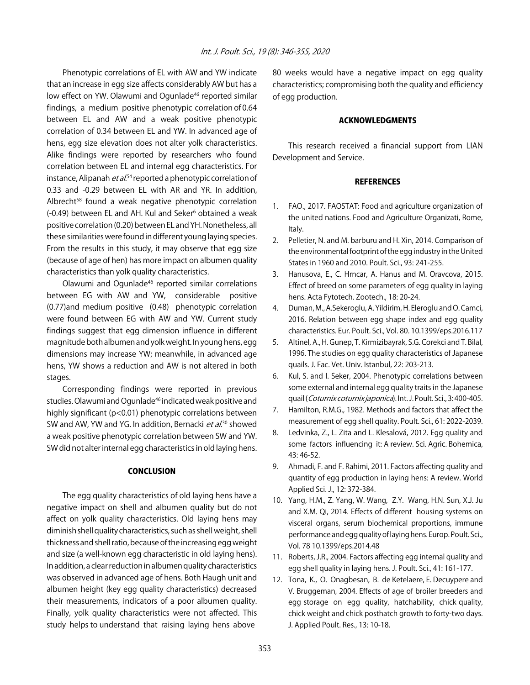Phenotypic correlations of EL with AW and YW indicate that an increase in egg size affects considerably AW but has a low effect on YW. Olawumi and Ogunlade<sup>46</sup> reported similar findings, a medium positive phenotypic correlation of 0.64 between EL and AW and a weak positive phenotypic correlation of 0.34 between EL and YW. In advanced age of hens, egg size elevation does not alter yolk characteristics. Alike findings were reported by researchers who found correlation between EL and internal egg characteristics. For instance, Alipanah *et al*.<sup>54</sup> reported a phenotypic correlation of 0.33 and -0.29 between EL with AR and YR. In addition, Albrecht<sup>58</sup> found a weak negative phenotypic correlation (-0.49) between EL and AH. Kul and Seker<sup>6</sup> obtained a weak positive correlation (0.20) between EL and YH. Nonetheless, all these similarities were found in different young laying species. From the results in this study, it may observe that egg size (because of age of hen) has more impact on albumen quality characteristics than yolk quality characteristics.

Olawumi and Ogunlade46 reported similar correlations between EG with AW and YW, considerable positive (0.77)and medium positive (0.48) phenotypic correlation were found between EG with AW and YW. Current study findings suggest that egg dimension influence in different magnitude both albumen and yolk weight. In young hens, egg dimensions may increase YW; meanwhile, in advanced age hens, YW shows a reduction and AW is not altered in both stages.

Corresponding findings were reported in previous studies. Olawumi and Ogunlade<sup>46</sup> indicated weak positive and highly significant (p<0.01) phenotypic correlations between SW and AW, YW and YG. In addition, Bernacki *et al*.<sup>30</sup> showed a weak positive phenotypic correlation between SW and YW. SW did not alter internal egg characteristics in old laying hens.

### **CONCLUSION**

The egg quality characteristics of old laying hens have a negative impact on shell and albumen quality but do not affect on yolk quality characteristics. Old laying hens may diminish shell quality characteristics, such as shell weight, shell thickness and shell ratio, because of the increasing egg weight and size (a well-known egg characteristic in old laying hens). In addition, a clear reduction in albumen quality characteristics was observed in advanced age of hens. Both Haugh unit and albumen height (key egg quality characteristics) decreased their measurements, indicators of a poor albumen quality. Finally, yolk quality characteristics were not affected. This study helps to understand that raising laying hens above

80 weeks would have a negative impact on egg quality characteristics; compromising both the quality and efficiency of egg production.

#### ACKNOWLEDGMENTS

This research received a financial support from LIAN Development and Service.

#### **REFERENCES**

- 1. FAO., 2017. FAOSTAT: Food and agriculture organization of the united nations. Food and Agriculture Organizati, Rome, Italy.
- 2. Pelletier, N. and M. barburu and H. Xin, 2014. Comparison of the environmental footprint of the egg industry in the United States in 1960 and 2010. Poult. Sci., 93: 241-255.
- 3. Hanusova, E., C. Hrncar, A. Hanus and M. Oravcova, 2015. Effect of breed on some parameters of egg quality in laying hens. Acta Fytotech. Zootech., 18: 20-24.
- 4. Duman, M., A.Sekeroglu, A. Yildirim, H. Eleroglu and O. Camci, 2016. Relation between egg shape index and egg quality characteristics. Eur. Poult. Sci., Vol. 80. 10.1399/eps.2016.117
- 5. Altinel, A., H. Gunep, T. Kirmizibayrak, S.G. Corekci and T. Bilal, 1996. The studies on egg quality characteristics of Japanese quails. J. Fac. Vet. Univ. Istanbul, 22: 203-213.
- 6. Kul, S. and I. Seker, 2004. Phenotypic correlations between some external and internal egg quality traits in the Japanese quail (Coturnix coturnix japonica). Int. J. Poult. Sci., 3:400-405.
- 7. Hamilton, R.M.G., 1982. Methods and factors that affect the measurement of egg shell quality. Poult. Sci., 61: 2022-2039.
- 8. Ledvinka, Z., L. Zita and L. Klesalová, 2012. Egg quality and some factors influencing it: A review. Sci. Agric. Bohemica, 43: 46-52.
- 9. Ahmadi, F. and F. Rahimi, 2011. Factors affecting quality and quantity of egg production in laying hens: A review. World Applied Sci. J., 12: 372-384.
- 10. Yang, H.M., Z. Yang, W. Wang, Z.Y. Wang, H.N. Sun, X.J. Ju and X.M. Qi, 2014. Effects of different housing systems on visceral organs, serum biochemical proportions, immune performance and egg quality of laying hens. Europ. Poult. Sci., Vol. 78 10.1399/eps.2014.48
- 11. Roberts, J.R., 2004. Factors affecting egg internal quality and egg shell quality in laying hens. J. Poult. Sci., 41: 161-177.
- 12. Tona, K., O. Onagbesan, B. de Ketelaere, E. Decuypere and V. Bruggeman, 2004. Effects of age of broiler breeders and egg storage on egg quality, hatchability, chick quality, chick weight and chick posthatch growth to forty-two days. J. Applied Poult. Res., 13: 10-18.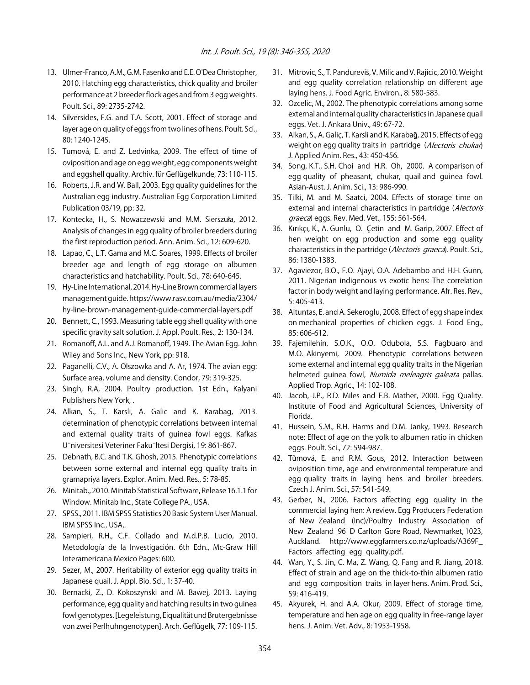- 13. Ulmer-Franco, A.M., G.M. Fasenko and E.E. O'Dea Christopher, 2010. Hatching egg characteristics, chick quality and broiler performance at 2 breeder flock ages and from 3 egg weights. Poult. Sci., 89: 2735-2742.
- 14. Silversides, F.G. and T.A. Scott, 2001. Effect of storage and layer age on quality of eggs from two lines of hens. Poult. Sci., 80: 1240-1245.
- 15. Tumová, E. and Z. Ledvinka, 2009. The effect of time of oviposition and age on egg weight, egg components weight and eggshell quality. Archiv. für Geflügelkunde, 73: 110-115.
- 16. Roberts, J.R. and W. Ball, 2003. Egg quality guidelines for the Australian egg industry. Australian Egg Corporation Limited Publication 03/19, pp: 32.
- 17. Kontecka, H., S. Nowaczewski and M.M. Sierszuła, 2012. Analysis of changes in egg quality of broiler breeders during the first reproduction period. Ann. Anim. Sci., 12: 609-620.
- 18. Lapao, C., L.T. Gama and M.C. Soares, 1999. Effects of broiler breeder age and length of egg storage on albumen characteristics and hatchability. Poult. Sci., 78: 640-645.
- 19. Hy-Line International, 2014. Hy-Line Brown commercial layers management guide. https://www.rasv.com.au/media/2304/ hy-line-brown-management-guide-commercial-layers.pdf
- 20. Bennett, C., 1993. Measuring table egg shell quality with one specific gravity salt solution. J. Appl. Poult. Res., 2: 130-134.
- 21. Romanoff, A.L. and A.J. Romanoff, 1949. The Avian Egg. John Wiley and Sons Inc., New York, pp: 918.
- 22. Paganelli, C.V., A. Olszowka and A. Ar, 1974. The avian egg: Surface area, volume and density. Condor, 79: 319-325.
- 23. Singh, R.A, 2004. Poultry production. 1st Edn., Kalyani Publishers New York, .
- 24. Alkan, S., T. Karsli, A. Galic and K. Karabag, 2013. determination of phenotypic correlations between internal and external quality traits of guinea fowl eggs. Kafkas U"niversitesi Veteriner Faku"ltesi Dergisi, 19: 861-867.
- 25. Debnath, B.C. and T.K. Ghosh, 2015. Phenotypic correlations between some external and internal egg quality traits in gramapriya layers. Explor. Anim. Med. Res., 5: 78-85.
- 26. Minitab., 2010. Minitab Statistical Software, Release 16.1.1 for Window. Minitab Inc., State College PA., USA.
- 27. SPSS., 2011. IBM SPSS Statistics 20 Basic System User Manual. IBM SPSS Inc., USA,.
- 28. Sampieri, R.H., C.F. Collado and M.d.P.B. Lucio, 2010. Metodología de la Investigación. 6th Edn., Mc-Graw Hill Interamericana Mexico Pages: 600.
- 29. Sezer, M., 2007. Heritability of exterior egg quality traits in Japanese quail. J. Appl. Bio. Sci., 1: 37-40.
- 30. Bernacki, Z., D. Kokoszynski and M. Bawej, 2013. Laying performance, egg quality and hatching results in two guinea fowl genotypes. [Legeleistung, Eiqualität und Brutergebnisse von zwei Perlhuhngenotypen]. Arch. Geflügelk, 77: 109-115.
- 31. Mitrovic, S., T. Pandureviš, V. Milic and V. Rajicic, 2010. Weight and egg quality correlation relationship on different age laying hens. J. Food Agric. Environ., 8: 580-583.
- 32. Ozcelic, M., 2002. The phenotypic correlations among some external and internal quality characteristics in Japanese quail eggs. Vet. J. Ankara Univ., 49: 67-72.
- 33. Alkan, S., A. Galiç, T. Karsli and K. Karabağ, 2015. Effects of egg weight on egg quality traits in partridge (Alectoris chukar) J. Applied Anim. Res., 43: 450-456.
- 34. Song, K.T., S.H. Choi and H.R. Oh, 2000. A comparison of egg quality of pheasant, chukar, quail and guinea fowl. Asian-Aust. J. Anim. Sci., 13: 986-990.
- 35. Tilki, M. and M. Saatci, 2004. Effects of storage time on external and internal characteristics in partridge (Alectoris graeca) eggs. Rev. Med. Vet., 155: 561-564.
- 36. Kırıkçı, K., A. Gunlu, O. Çetin and M. Garip, 2007. Effect of hen weight on egg production and some egg quality characteristics in the partridge (Alectoris graeca). Poult. Sci., 86: 1380-1383.
- 37. Agaviezor, B.O., F.O. Ajayi, O.A. Adebambo and H.H. Gunn, 2011. Nigerian indigenous vs exotic hens: The correlation factor in body weight and laying performance. Afr. Res. Rev., 5: 405-413.
- 38. Altuntas, E. and A. Sekeroglu, 2008. Effect of egg shape index on mechanical properties of chicken eggs. J. Food Eng., 85: 606-612.
- 39. Fajemilehin, S.O.K., O.O. Odubola, S.S. Fagbuaro and M.O. Akinyemi, 2009. Phenotypic correlations between some external and internal egg quality traits in the Nigerian helmeted guinea fowl, Numida meleagris galeata pallas. Applied Trop. Agric., 14: 102-108.
- 40. Jacob, J.P., R.D. Miles and F.B. Mather, 2000. Egg Quality. Institute of Food and Agricultural Sciences, University of Florida.
- 41. Hussein, S.M., R.H. Harms and D.M. Janky, 1993. Research note: Effect of age on the yolk to albumen ratio in chicken eggs. Poult. Sci., 72: 594-987.
- 42. Tůmová, E. and R.M. Gous, 2012. Interaction between oviposition time, age and environmental temperature and egg quality traits in laying hens and broiler breeders. Czech J. Anim. Sci., 57: 541-549.
- 43. Gerber, N., 2006. Factors affecting egg quality in the commercial laying hen: A review. Egg Producers Federation of New Zealand (Inc)/Poultry Industry Association of New Zealand 96 D Carlton Gore Road, Newmarket, 1023, Auckland. http://www.eggfarmers.co.nz/uploads/A369F\_ Factors\_affecting\_egg\_quality.pdf.
- 44. Wan, Y., S. Jin, C. Ma, Z. Wang, Q. Fang and R. Jiang, 2018. Effect of strain and age on the thick-to-thin albumen ratio and egg composition traits in layer hens. Anim. Prod. Sci., 59: 416-419.
- 45. Akyurek, H. and A.A. Okur, 2009. Effect of storage time, temperature and hen age on egg quality in free-range layer hens. J. Anim. Vet. Adv., 8: 1953-1958.